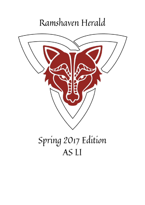# Ramshaven Herald

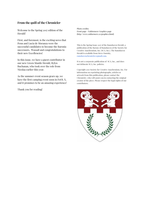### **From the quill of the Chronicler**

Welcome to the Spring 2017 edition of the Herald!

First, and foremost, is the exciting news that Penn and Lucia de Moranza were the successful candidates to become the Baronia successors. Wassail and congratulations to their new Excellencies!

In this issue, we have a guest contributor in our new Green Mantle Herald, Rylyn Buchanan, who took over the role from Nicolaa earlier this year.

As the summer event season gears up, we have the first camping event soon in FoOL X, and it promises to be an amazing experience!

Thank you for reading!

Photo credits: Front page - Ealdormere Graphics page (http://www.ealdormere.ca/graphics.html)

This is the Spring Issue 2017 of the Ramshaven Herald, a publication of the Barony of Ramshaven of the Society for Creative Anachronism, Inc. (SCA, Inc.). The Ramshaven Herald is available from Steve Onotsky, ramshavenchronicler@gmail.com.

It is not a corporate publication of SCA, Inc., and does not delineate SCA, Inc. policies.

Copyright 2017 Society for Creative Anachronism, Inc. For information on reprinting photographs, articles or artwork from this publication, please contact the Chronicler, who will assist you in contacting the original creator of the piece. Please respect the legal rights of our contributors.

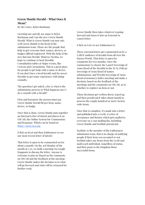## **Green Mantle Herald - What Does It Mean?**

*By Her Grace, Rylyn Buchanan*

Greeting one and all, my name is Rylyn Buchanan and I am the new Green Mantle Herald. What is Green Mantle you may ask; well Green Mantle is the head of the submission team. Those are the people that help to get everyone their names, devices, or badges official registered. With the help of the new Buccina Herald, Mistress Nicolaa, we hope to continue to host Heraldic Consultation tables at Major events, like Crowns and Coronations. This is a great place for people to get help with a name or device, if you don't have a local herald; and for newer Heralds to get some experience with doing consults.

The question I get asked, a lot, is what is the submissions process or What happens once I do a consult with a Herald?

First and foremost; the person must pay Green Mantle Herald \$8 per item; name, device, or badge.

Once that is done, Green Mantle puts together an Internal Letter of Intent and places it on OSCAR; the Online System for Commentary and Response. Which can be found at: [https://oscar.sca.org/](https://l.facebook.com/l.php?u=https%3A%2F%2Foscar.sca.org%2F&h=ATM5q4y4zheFQGEg65AWLQHwxsXF9Nxw_Q1InUl9O-ysKyVie5HO_VVqswi33T0lqjo6NA3fkI1xVkKyINBL5AaaWb5SUtLUn-ckPfj_uNOMZEJ9vHSmWMXAMbIQ53hyUaqcvQ)

(Click on KLoI and then Ealdormere to see our most recent letter of intent)

That letter is open to be commented on for about a month. On the 3rd Monday of the month at 7:30, we hold a meeting via Google Hangouts to discuss the letter. Anyone is welcome to join us! Based on the comments on OSCAR and the feedback at the meeting; Green Mantle makes the decision as to what will go forward and what will be returned for further work.

Green Mantle then takes whatever is going forward and turns it into an External or Laurel letter.

(Click on LoI's to see Ealdormere's)

These external letters get commented on by a LARGE audience of heralds from all over the Known World. That letter is open for comments for two months. Once the commentary is closed, the Laurel Sovereign of Arms (head of the Heralds in the SCA), Pelican Sovereign of Arms (head of names submissions), and Wreath Sovereign of Arms (head of armoury); hold a meeting and make a decision, based on the feedback of the meetings and the comments on OSCAR, as to whether to register an item or not.

Those decisions get written down, typed up, and then proofread.It takes about month to process the couple hundred or more Society wide items.

Once that is complete, it's made into a letter and published into a LoAR; a Letter of Acceptance and Return which gets mailed to everyone on a vast mailing list, including Green Mantle and Seeblatt pursuivant.

Seeblatt, is the member of the Ealdormere submission team, that is in charge of notifying people if their item was accepted or not. Seeblatt takes our items from the LoAR and mails each individual, regardless of status, and then posts to the Kingdom those successful items.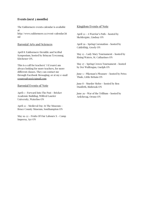## **Events (next 3 months)**

The Ealdormere events calendar is available at

http://www.ealdormere.ca/event-calendar.ht ml

#### Baronial Arts and Sciences

April 8: Ealdormere Heraldic and Scribal Symposium, hosted by Brinyau Tywynnog, Kitchener ON.

This is a call for teachers! I (Cesare) am always looking for more teachers, for more different classes. They can contact me through Facebook Messaging, or at my e-mail [cesaresalvazzi@gmail.com](mailto:cesaresalvazzi@gmail.com)

#### Baronial Events of Note

April 1 - Forward Into The Past - Bricker Academic Building, Wilfred Laurier University, Waterloo ON

April 22 - Medieval Day At The Museum - Bruce County Museum, Southampton ON

May 19-22 - Fruits Of Our Labours X - Camp Impeesa, Ayr ON

#### Kingdom Events of Note

April 22 - A Warrior's Path - hosted by Skeldergate, Lindsay ON

April 29 - Spring Coronation - hosted by Caldrithig, Greely ON

May 13 - Lady Mary Tournament - hosted by Rising Waters, St. Catharines ON

May 27 - Spring Crown Tournament - hosted by Der Wulfengau, Guelph ON

June 3 - Pikeman's Pleasure - hosted by Petra Thule, Little Britain ON

June 8 - Murder Melee - hosted by Ben Dunfirth, Binbrook ON

June 29 - War of the Trillium - hosted by Ardchreag, Orono ON